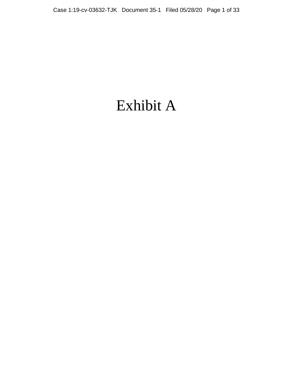# Exhibit A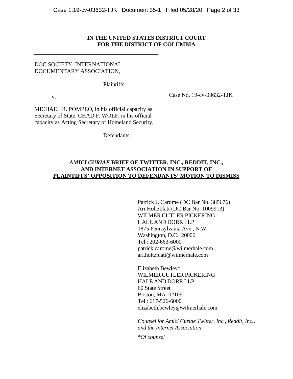# **IN THE UNITED STATES DISTRICT COURT FOR THE DISTRICT OF COLUMBIA**

# DOC SOCIETY, INTERNATIONAL DOCUMENTARY ASSOCIATION,

Plaintiffs,

v.

MICHAEL R. POMPEO, in his official capacity as Secretary of State, CHAD F. WOLF, in his official capacity as Acting Secretary of Homeland Security,

Defendants.

Case No. 19-cv-03632-TJK

# *AMICI CURIAE* **BRIEF OF TWITTER, INC., REDDIT, INC., AND INTERNET ASSOCIATION IN SUPPORT OF PLAINTIFFS' OPPOSITION TO DEFENDANTS' MOTION TO DISMISS**

Patrick J. Carome (DC Bar No. 385676) Ari Holtzblatt (DC Bar No. 1009913) WILMER CUTLER PICKERING HALE AND DORR LLP 1875 Pennsylvania Ave., N.W. Washington, D.C. 20006 Tel.: 202-663-6000 patrick.carome@wilmerhale.com ari.holtzblatt@wilmerhale.com

Elizabeth Bewley\* WILMER CUTLER PICKERING HALE AND DORR LLP 60 State Street Boston, MA 02109 Tel.: 617-526-6000 elizabeth.bewley@wilmerhale.com

*Counsel for Amici Curiae Twitter, Inc., Reddit, Inc., and the Internet Association*

*\*Of counsel*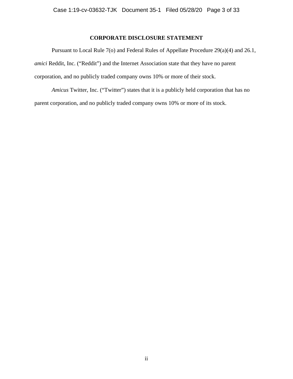# **CORPORATE DISCLOSURE STATEMENT**

 Pursuant to Local Rule 7(o) and Federal Rules of Appellate Procedure 29(a)(4) and 26.1, *amici* Reddit, Inc. ("Reddit") and the Internet Association state that they have no parent corporation, and no publicly traded company owns 10% or more of their stock.

*Amicus* Twitter, Inc. ("Twitter") states that it is a publicly held corporation that has no parent corporation, and no publicly traded company owns 10% or more of its stock.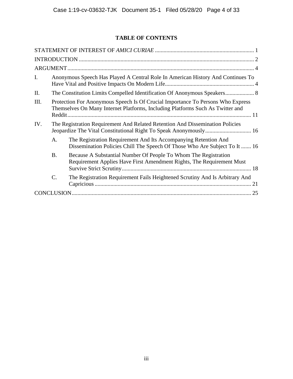# **TABLE OF CONTENTS**

| I.  |                                                                                                                                                                             | Anonymous Speech Has Played A Central Role In American History And Continues To                                                               |  |  |  |
|-----|-----------------------------------------------------------------------------------------------------------------------------------------------------------------------------|-----------------------------------------------------------------------------------------------------------------------------------------------|--|--|--|
| Π.  |                                                                                                                                                                             |                                                                                                                                               |  |  |  |
| Ш.  | Protection For Anonymous Speech Is Of Crucial Importance To Persons Who Express<br>Themselves On Many Internet Platforms, Including Platforms Such As Twitter and<br>Reddit |                                                                                                                                               |  |  |  |
| IV. | The Registration Requirement And Related Retention And Dissemination Policies                                                                                               |                                                                                                                                               |  |  |  |
|     | A.                                                                                                                                                                          | The Registration Requirement And Its Accompanying Retention And<br>Dissemination Policies Chill The Speech Of Those Who Are Subject To It  16 |  |  |  |
|     | <b>B.</b>                                                                                                                                                                   | Because A Substantial Number Of People To Whom The Registration<br>Requirement Applies Have First Amendment Rights, The Requirement Must      |  |  |  |
|     | $\mathcal{C}$ .                                                                                                                                                             | The Registration Requirement Fails Heightened Scrutiny And Is Arbitrary And                                                                   |  |  |  |
|     |                                                                                                                                                                             |                                                                                                                                               |  |  |  |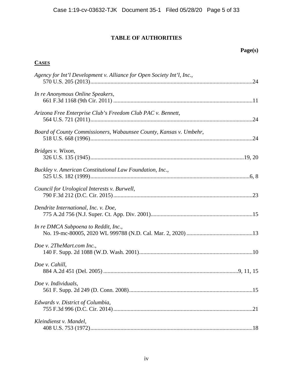# **TABLE OF AUTHORITIES**

# **Page(s)**

# **CASES**

| Agency for Int'l Development v. Alliance for Open Society Int'l, Inc., |  |
|------------------------------------------------------------------------|--|
| In re Anonymous Online Speakers,                                       |  |
| Arizona Free Enterprise Club's Freedom Club PAC v. Bennett,            |  |
| Board of County Commissioners, Wabaunsee County, Kansas v. Umbehr,     |  |
| Bridges v. Wixon,                                                      |  |
| Buckley v. American Constitutional Law Foundation, Inc.,               |  |
| Council for Urological Interests v. Burwell,                           |  |
| Dendrite International, Inc. v. Doe,                                   |  |
| In re DMCA Subpoena to Reddit, Inc.,                                   |  |
| Doe v. 2TheMart.com Inc.,                                              |  |
| Doe v. Cahill,                                                         |  |
| Doe v. Individuals,                                                    |  |
| Edwards v. District of Columbia,                                       |  |
| Kleindienst v. Mandel,                                                 |  |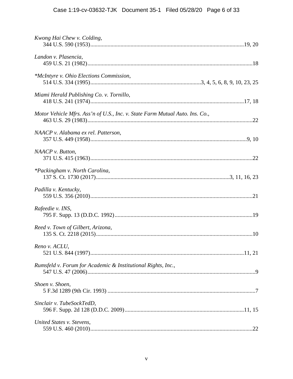| Kwong Hai Chew v. Colding,                                                   |
|------------------------------------------------------------------------------|
| Landon v. Plasencia,                                                         |
| *McIntyre v. Ohio Elections Commission,                                      |
| Miami Herald Publishing Co. v. Tornillo,                                     |
| Motor Vehicle Mfrs. Ass'n of U.S., Inc. v. State Farm Mutual Auto. Ins. Co., |
| NAACP v. Alabama ex rel. Patterson,                                          |
| $NAACP$ v. Button,                                                           |
| <i>*Packingham v. North Carolina,</i>                                        |
| Padilla v. Kentucky,                                                         |
| Rafeedie v. INS,                                                             |
| Reed v. Town of Gilbert, Arizona,                                            |
| Reno v. ACLU,                                                                |
| Rumsfeld v. Forum for Academic & Institutional Rights, Inc.,                 |
| Shoen v. Shoen,                                                              |
| Sinclair v. TubeSockTedD,                                                    |
| United States v. Stevens,                                                    |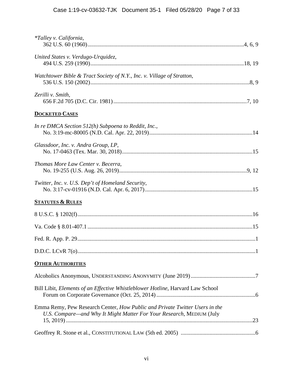| <i>*Talley v. California,</i>                                                                                                                       |  |
|-----------------------------------------------------------------------------------------------------------------------------------------------------|--|
| United States v. Verdugo-Urquidez,                                                                                                                  |  |
| Watchtower Bible & Tract Society of N.Y., Inc. v. Village of Stratton,                                                                              |  |
| Zerilli v. Smith,                                                                                                                                   |  |
| <b>DOCKETED CASES</b>                                                                                                                               |  |
| In re DMCA Section $512(h)$ Subpoena to Reddit, Inc.,                                                                                               |  |
| Glassdoor, Inc. v. Andra Group, LP,                                                                                                                 |  |
| Thomas More Law Center v. Becerra,                                                                                                                  |  |
| Twitter, Inc. v. U.S. Dep't of Homeland Security,                                                                                                   |  |
| <b>STATUTES &amp; RULES</b>                                                                                                                         |  |
|                                                                                                                                                     |  |
|                                                                                                                                                     |  |
|                                                                                                                                                     |  |
|                                                                                                                                                     |  |
| <b>OTHER AUTHORITIES</b>                                                                                                                            |  |
|                                                                                                                                                     |  |
| Bill Libit, Elements of an Effective Whistleblower Hotline, Harvard Law School                                                                      |  |
| Emma Remy, Pew Research Center, How Public and Private Twitter Users in the<br>U.S. Compare—and Why It Might Matter For Your Research, MEDIUM (July |  |
|                                                                                                                                                     |  |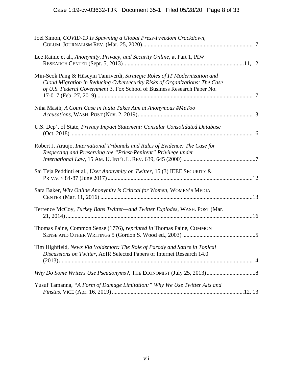| Joel Simon, COVID-19 Is Spawning a Global Press-Freedom Crackdown,                                                                                                                                                                   |  |
|--------------------------------------------------------------------------------------------------------------------------------------------------------------------------------------------------------------------------------------|--|
| Lee Rainie et al., Anonymity, Privacy, and Security Online, at Part 1, PEW                                                                                                                                                           |  |
| Min-Seok Pang & Hüseyin Tanriverdi, Strategic Roles of IT Modernization and<br>Cloud Migration in Reducing Cybersecurity Risks of Organizations: The Case<br>of U.S. Federal Government 3, Fox School of Business Research Paper No. |  |
| Niha Masih, A Court Case in India Takes Aim at Anonymous #MeToo                                                                                                                                                                      |  |
| U.S. Dep't of State, Privacy Impact Statement: Consular Consolidated Database                                                                                                                                                        |  |
| Robert J. Araujo, International Tribunals and Rules of Evidence: The Case for<br>Respecting and Preserving the "Priest-Penitent" Privilege under                                                                                     |  |
| Sai Teja Peddinti et al., User Anonymity on Twitter, 15 (3) IEEE SECURITY &                                                                                                                                                          |  |
| Sara Baker, Why Online Anonymity is Critical for Women, WOMEN'S MEDIA                                                                                                                                                                |  |
| Terrence McCoy, Turkey Bans Twitter-and Twitter Explodes, WASH. POST (Mar.                                                                                                                                                           |  |
| Thomas Paine, Common Sense (1776), <i>reprinted in</i> Thomas Paine, COMMON                                                                                                                                                          |  |
| Tim Highfield, News Via Voldemort: The Role of Parody and Satire in Topical<br>Discussions on Twitter, AoIR Selected Papers of Internet Research 14.0                                                                                |  |
|                                                                                                                                                                                                                                      |  |
| Yusuf Tamanna, "A Form of Damage Limitation:" Why We Use Twitter Alts and                                                                                                                                                            |  |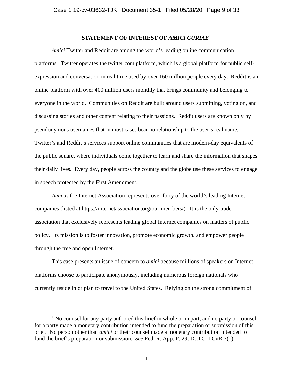## **STATEMENT OF INTEREST OF** *AMICI CURIAE***<sup>1</sup>**

*Amici* Twitter and Reddit are among the world's leading online communication platforms. Twitter operates the twitter.com platform, which is a global platform for public selfexpression and conversation in real time used by over 160 million people every day. Reddit is an online platform with over 400 million users monthly that brings community and belonging to everyone in the world. Communities on Reddit are built around users submitting, voting on, and discussing stories and other content relating to their passions. Reddit users are known only by pseudonymous usernames that in most cases bear no relationship to the user's real name. Twitter's and Reddit's services support online communities that are modern-day equivalents of the public square, where individuals come together to learn and share the information that shapes their daily lives. Every day, people across the country and the globe use these services to engage in speech protected by the First Amendment.

*Amicus* the Internet Association represents over forty of the world's leading Internet companies (listed at https://internetassociation.org/our-members/). It is the only trade association that exclusively represents leading global Internet companies on matters of public policy. Its mission is to foster innovation, promote economic growth, and empower people through the free and open Internet.

This case presents an issue of concern to *amici* because millions of speakers on Internet platforms choose to participate anonymously, including numerous foreign nationals who currently reside in or plan to travel to the United States. Relying on the strong commitment of

 $<sup>1</sup>$  No counsel for any party authored this brief in whole or in part, and no party or counsel</sup> for a party made a monetary contribution intended to fund the preparation or submission of this brief. No person other than *amici* or their counsel made a monetary contribution intended to fund the brief's preparation or submission. *See* Fed. R. App. P. 29; D.D.C. LCvR 7(o).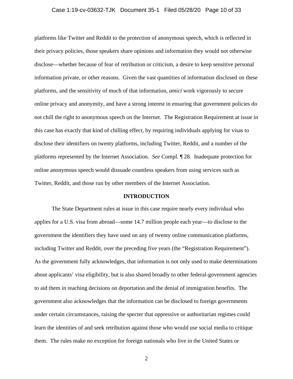#### Case 1:19-cv-03632-TJK Document 35-1 Filed 05/28/20 Page 10 of 33

platforms like Twitter and Reddit to the protection of anonymous speech, which is reflected in their privacy policies, those speakers share opinions and information they would not otherwise disclose—whether because of fear of retribution or criticism, a desire to keep sensitive personal information private, or other reasons. Given the vast quantities of information disclosed on these platforms, and the sensitivity of much of that information, *amici* work vigorously to secure online privacy and anonymity, and have a strong interest in ensuring that government policies do not chill the right to anonymous speech on the Internet. The Registration Requirement at issue in this case has exactly that kind of chilling effect, by requiring individuals applying for visas to disclose their identifiers on twenty platforms, including Twitter, Reddit, and a number of the platforms represented by the Internet Association. *See* Compl. ¶ 28. Inadequate protection for online anonymous speech would dissuade countless speakers from using services such as Twitter, Reddit, and those run by other members of the Internet Association.

#### **INTRODUCTION**

The State Department rules at issue in this case require nearly every individual who applies for a U.S. visa from abroad—some 14.7 million people each year—to disclose to the government the identifiers they have used on any of twenty online communication platforms, including Twitter and Reddit, over the preceding five years (the "Registration Requirement"). As the government fully acknowledges, that information is not only used to make determinations about applicants' visa eligibility, but is also shared broadly to other federal-government agencies to aid them in reaching decisions on deportation and the denial of immigration benefits. The government also acknowledges that the information can be disclosed to foreign governments under certain circumstances, raising the specter that oppressive or authoritarian regimes could learn the identities of and seek retribution against those who would use social media to critique them. The rules make no exception for foreign nationals who live in the United States or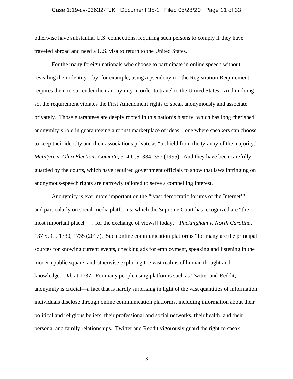#### Case 1:19-cv-03632-TJK Document 35-1 Filed 05/28/20 Page 11 of 33

otherwise have substantial U.S. connections, requiring such persons to comply if they have traveled abroad and need a U.S. visa to return to the United States.

For the many foreign nationals who choose to participate in online speech without revealing their identity—by, for example, using a pseudonym—the Registration Requirement requires them to surrender their anonymity in order to travel to the United States. And in doing so, the requirement violates the First Amendment rights to speak anonymously and associate privately. Those guarantees are deeply rooted in this nation's history, which has long cherished anonymity's role in guaranteeing a robust marketplace of ideas—one where speakers can choose to keep their identity and their associations private as "a shield from the tyranny of the majority." *McIntyre v. Ohio Elections Comm'n*, 514 U.S. 334, 357 (1995). And they have been carefully guarded by the courts, which have required government officials to show that laws infringing on anonymous-speech rights are narrowly tailored to serve a compelling interest.

Anonymity is ever more important on the "'vast democratic forums of the Internet'" and particularly on social-media platforms, which the Supreme Court has recognized are "the most important place[] … for the exchange of views[] today." *Packingham v. North Carolina*, 137 S. Ct. 1730, 1735 (2017).Such online communication platforms "for many are the principal sources for knowing current events, checking ads for employment, speaking and listening in the modern public square, and otherwise exploring the vast realms of human thought and knowledge." *Id.* at 1737. For many people using platforms such as Twitter and Reddit, anonymity is crucial—a fact that is hardly surprising in light of the vast quantities of information individuals disclose through online communication platforms, including information about their political and religious beliefs, their professional and social networks, their health, and their personal and family relationships. Twitter and Reddit vigorously guard the right to speak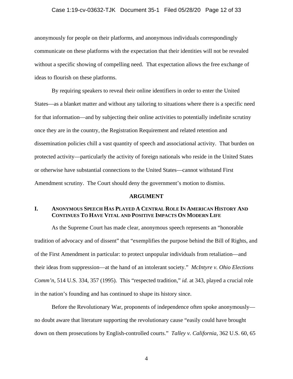#### Case 1:19-cv-03632-TJK Document 35-1 Filed 05/28/20 Page 12 of 33

anonymously for people on their platforms, and anonymous individuals correspondingly communicate on these platforms with the expectation that their identities will not be revealed without a specific showing of compelling need. That expectation allows the free exchange of ideas to flourish on these platforms.

By requiring speakers to reveal their online identifiers in order to enter the United States—as a blanket matter and without any tailoring to situations where there is a specific need for that information—and by subjecting their online activities to potentially indefinite scrutiny once they are in the country, the Registration Requirement and related retention and dissemination policies chill a vast quantity of speech and associational activity. That burden on protected activity—particularly the activity of foreign nationals who reside in the United States or otherwise have substantial connections to the United States—cannot withstand First Amendment scrutiny. The Court should deny the government's motion to dismiss.

#### **ARGUMENT**

# **I. ANONYMOUS SPEECH HAS PLAYED A CENTRAL ROLE IN AMERICAN HISTORY AND CONTINUES TO HAVE VITAL AND POSITIVE IMPACTS ON MODERN LIFE**

As the Supreme Court has made clear, anonymous speech represents an "honorable tradition of advocacy and of dissent" that "exemplifies the purpose behind the Bill of Rights, and of the First Amendment in particular: to protect unpopular individuals from retaliation—and their ideas from suppression—at the hand of an intolerant society." *McIntyre v. Ohio Elections Comm'n*, 514 U.S. 334, 357 (1995). This "respected tradition," *id.* at 343, played a crucial role in the nation's founding and has continued to shape its history since.

Before the Revolutionary War, proponents of independence often spoke anonymously no doubt aware that literature supporting the revolutionary cause "easily could have brought down on them prosecutions by English-controlled courts." *Talley v. California*, 362 U.S. 60, 65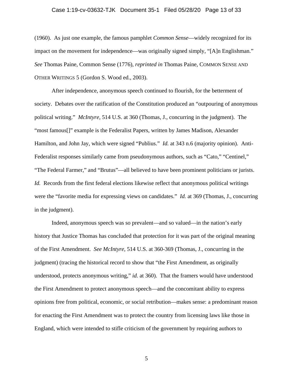#### Case 1:19-cv-03632-TJK Document 35-1 Filed 05/28/20 Page 13 of 33

(1960). As just one example, the famous pamphlet *Common Sense*—widely recognized for its impact on the movement for independence—was originally signed simply, "[A]n Englishman." *See* Thomas Paine, Common Sense (1776), *reprinted in* Thomas Paine, COMMON SENSE AND OTHER WRITINGS 5 (Gordon S. Wood ed., 2003).

After independence, anonymous speech continued to flourish, for the betterment of society. Debates over the ratification of the Constitution produced an "outpouring of anonymous political writing." *McIntyre*, 514 U.S. at 360 (Thomas, J., concurring in the judgment). The "most famous[]" example is the Federalist Papers, written by James Madison, Alexander Hamilton, and John Jay, which were signed "Publius." *Id.* at 343 n.6 (majority opinion). Anti-Federalist responses similarly came from pseudonymous authors, such as "Cato," "Centinel," "The Federal Farmer," and "Brutus"—all believed to have been prominent politicians or jurists. *Id.* Records from the first federal elections likewise reflect that anonymous political writings were the "favorite media for expressing views on candidates." *Id.* at 369 (Thomas, J., concurring in the judgment).

Indeed, anonymous speech was so prevalent—and so valued—in the nation's early history that Justice Thomas has concluded that protection for it was part of the original meaning of the First Amendment. *See McIntyre*, 514 U.S. at 360-369 (Thomas, J., concurring in the judgment) (tracing the historical record to show that "the First Amendment, as originally understood, protects anonymous writing," *id.* at 360). That the framers would have understood the First Amendment to protect anonymous speech—and the concomitant ability to express opinions free from political, economic, or social retribution—makes sense: a predominant reason for enacting the First Amendment was to protect the country from licensing laws like those in England, which were intended to stifle criticism of the government by requiring authors to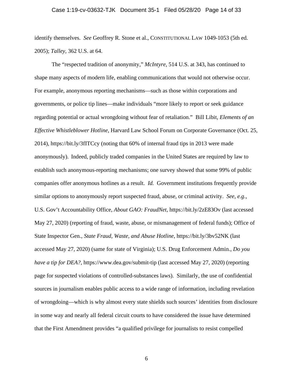#### Case 1:19-cv-03632-TJK Document 35-1 Filed 05/28/20 Page 14 of 33

identify themselves. *See* Geoffrey R. Stone et al., CONSTITUTIONAL LAW 1049-1053 (5th ed. 2005); *Talley*, 362 U.S. at 64.

The "respected tradition of anonymity," *McIntyre*, 514 U.S. at 343, has continued to shape many aspects of modern life, enabling communications that would not otherwise occur. For example, anonymous reporting mechanisms—such as those within corporations and governments, or police tip lines—make individuals "more likely to report or seek guidance regarding potential or actual wrongdoing without fear of retaliation." Bill Libit, *Elements of an Effective Whistleblower Hotline*, Harvard Law School Forum on Corporate Governance (Oct. 25, 2014), https://bit.ly/3fITCcy (noting that 60% of internal fraud tips in 2013 were made anonymously). Indeed, publicly traded companies in the United States are required by law to establish such anonymous-reporting mechanisms; one survey showed that some 99% of public companies offer anonymous hotlines as a result. *Id.* Government institutions frequently provide similar options to anonymously report suspected fraud, abuse, or criminal activity. *See, e.g.*, U.S. Gov't Accountability Office, *About GAO: FraudNet*, https://bit.ly/2zE83Ov (last accessed May 27, 2020) (reporting of fraud, waste, abuse, or mismanagement of federal funds); Office of State Inspector Gen., *State Fraud, Waste, and Abuse Hotline*, https://bit.ly/3bv52NK (last accessed May 27, 2020) (same for state of Virginia); U.S. Drug Enforcement Admin., *Do you have a tip for DEA?*, https://www.dea.gov/submit-tip (last accessed May 27, 2020) (reporting page for suspected violations of controlled-substances laws). Similarly, the use of confidential sources in journalism enables public access to a wide range of information, including revelation of wrongdoing—which is why almost every state shields such sources' identities from disclosure in some way and nearly all federal circuit courts to have considered the issue have determined that the First Amendment provides "a qualified privilege for journalists to resist compelled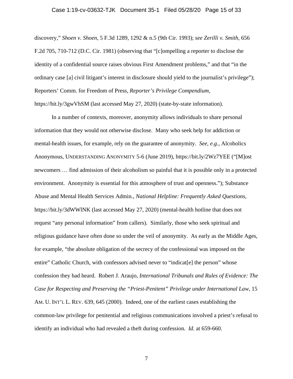discovery," *Shoen v. Shoen*, 5 F.3d 1289, 1292 & n.5 (9th Cir. 1993); *see Zerilli v. Smith*, 656 F.2d 705, 710-712 (D.C. Cir. 1981) (observing that "[c]ompelling a reporter to disclose the identity of a confidential source raises obvious First Amendment problems," and that "in the ordinary case [a] civil litigant's interest in disclosure should yield to the journalist's privilege"); Reporters' Comm. for Freedom of Press, *Reporter's Privilege Compendium*, https://bit.ly/3gwVhSM (last accessed May 27, 2020) (state-by-state information).

In a number of contexts, moreover, anonymity allows individuals to share personal information that they would not otherwise disclose. Many who seek help for addiction or mental-health issues, for example, rely on the guarantee of anonymity. *See, e.g.*, Alcoholics Anonymous, UNDERSTANDING ANONYMITY 5-6 (June 2019), https://bit.ly/2Wz7YEE ("[M]ost newcomers … find admission of their alcoholism so painful that it is possible only in a protected environment. Anonymity is essential for this atmosphere of trust and openness."); Substance Abuse and Mental Health Services Admin., *National Helpline: Frequently Asked Questions*, https://bit.ly/3dWWlNK (last accessed May 27, 2020) (mental-health hotline that does not request "any personal information" from callers). Similarly, those who seek spiritual and religious guidance have often done so under the veil of anonymity. As early as the Middle Ages, for example, "the absolute obligation of the secrecy of the confessional was imposed on the entire" Catholic Church, with confessors advised never to "indicat[e] the person" whose confession they had heard. Robert J. Araujo, *International Tribunals and Rules of Evidence: The Case for Respecting and Preserving the "Priest-Penitent" Privilege under International Law*, 15 AM. U. INT'L L. REV. 639, 645 (2000). Indeed, one of the earliest cases establishing the common-law privilege for penitential and religious communications involved a priest's refusal to identify an individual who had revealed a theft during confession. *Id.* at 659-660.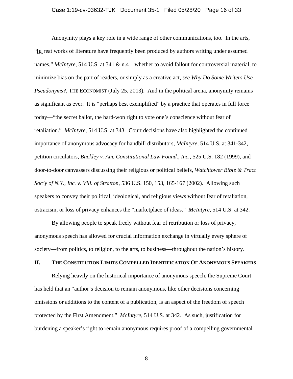#### Case 1:19-cv-03632-TJK Document 35-1 Filed 05/28/20 Page 16 of 33

Anonymity plays a key role in a wide range of other communications, too. In the arts, "[g]reat works of literature have frequently been produced by authors writing under assumed names," *McIntyre*, 514 U.S. at 341 & n.4—whether to avoid fallout for controversial material, to minimize bias on the part of readers, or simply as a creative act, *see Why Do Some Writers Use Pseudonyms?*, THE ECONOMIST (July 25, 2013). And in the political arena, anonymity remains as significant as ever. It is "perhaps best exemplified" by a practice that operates in full force today—"the secret ballot, the hard-won right to vote one's conscience without fear of retaliation." *McIntyre*, 514 U.S. at 343. Court decisions have also highlighted the continued importance of anonymous advocacy for handbill distributors, *McIntyre*, 514 U.S. at 341-342, petition circulators, *Buckley v. Am. Constitutional Law Found., Inc.*, 525 U.S. 182 (1999), and door-to-door canvassers discussing their religious or political beliefs, *Watchtower Bible & Tract Soc'y of N.Y., Inc. v. Vill. of Stratton*, 536 U.S. 150, 153, 165-167 (2002). Allowing such speakers to convey their political, ideological, and religious views without fear of retaliation, ostracism, or loss of privacy enhances the "marketplace of ideas." *McIntyre*, 514 U.S. at 342.

By allowing people to speak freely without fear of retribution or loss of privacy, anonymous speech has allowed for crucial information exchange in virtually every sphere of society—from politics, to religion, to the arts, to business—throughout the nation's history.

## **II. THE CONSTITUTION LIMITS COMPELLED IDENTIFICATION OF ANONYMOUS SPEAKERS**

Relying heavily on the historical importance of anonymous speech, the Supreme Court has held that an "author's decision to remain anonymous, like other decisions concerning omissions or additions to the content of a publication, is an aspect of the freedom of speech protected by the First Amendment." *McIntyre*, 514 U.S. at 342. As such, justification for burdening a speaker's right to remain anonymous requires proof of a compelling governmental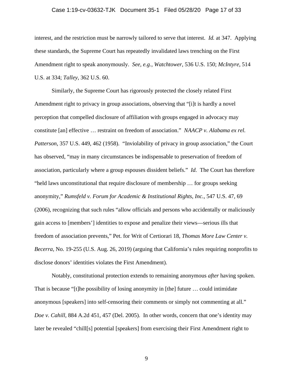#### Case 1:19-cv-03632-TJK Document 35-1 Filed 05/28/20 Page 17 of 33

interest, and the restriction must be narrowly tailored to serve that interest. *Id.* at 347. Applying these standards, the Supreme Court has repeatedly invalidated laws trenching on the First Amendment right to speak anonymously. *See, e.g.*, *Watchtower*, 536 U.S. 150; *McIntyre*, 514 U.S. at 334; *Talley*, 362 U.S. 60.

 Similarly, the Supreme Court has rigorously protected the closely related First Amendment right to privacy in group associations, observing that "[i]t is hardly a novel perception that compelled disclosure of affiliation with groups engaged in advocacy may constitute [an] effective … restraint on freedom of association." *NAACP v. Alabama ex rel. Patterson*, 357 U.S. 449, 462 (1958). "Inviolability of privacy in group association," the Court has observed, "may in many circumstances be indispensable to preservation of freedom of association, particularly where a group espouses dissident beliefs." *Id.* The Court has therefore "held laws unconstitutional that require disclosure of membership … for groups seeking anonymity," *Rumsfeld v. Forum for Academic & Institutional Rights, Inc.*, 547 U.S. 47, 69 (2006), recognizing that such rules "allow officials and persons who accidentally or maliciously gain access to [members'] identities to expose and penalize their views—serious ills that freedom of association prevents," Pet. for Writ of Certiorari 18, *Thomas More Law Center v. Becerra*, No. 19-255 (U.S. Aug. 26, 2019) (arguing that California's rules requiring nonprofits to disclose donors' identities violates the First Amendment).

Notably, constitutional protection extends to remaining anonymous *after* having spoken. That is because "[t]he possibility of losing anonymity in [the] future … could intimidate anonymous [speakers] into self-censoring their comments or simply not commenting at all." *Doe v. Cahill*, 884 A.2d 451, 457 (Del. 2005). In other words, concern that one's identity may later be revealed "chill[s] potential [speakers] from exercising their First Amendment right to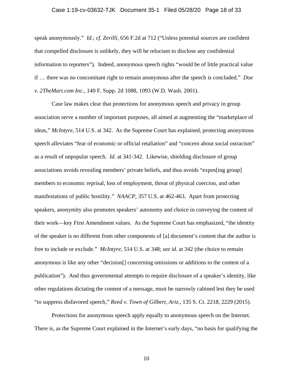#### Case 1:19-cv-03632-TJK Document 35-1 Filed 05/28/20 Page 18 of 33

speak anonymously." *Id.*; *cf. Zerilli*, 656 F.2d at 712 ("Unless potential sources are confident that compelled disclosure is unlikely, they will be reluctant to disclose any confidential information to reporters").Indeed, anonymous speech rights "would be of little practical value if … there was no concomitant right to remain anonymous after the speech is concluded." *Doe v. 2TheMart.com Inc.*, 140 F. Supp. 2d 1088, 1093 (W.D. Wash. 2001).

Case law makes clear that protections for anonymous speech and privacy in group association serve a number of important purposes, all aimed at augmenting the "marketplace of ideas," *McIntyre*, 514 U.S. at 342. As the Supreme Court has explained, protecting anonymous speech alleviates "fear of economic or official retaliation" and "concern about social ostracism" as a result of unpopular speech. *Id.* at 341-342. Likewise, shielding disclosure of group associations avoids revealing members' private beliefs, and thus avoids "expos[ing group] members to economic reprisal, loss of employment, threat of physical coercion, and other manifestations of public hostility." *NAACP*, 357 U.S. at 462-463. Apart from protecting speakers, anonymity also promotes speakers' autonomy and choice in conveying the content of their work—key First Amendment values. As the Supreme Court has emphasized, "the identity of the speaker is no different from other components of [a] document's content that the author is free to include or exclude." *McIntyre*, 514 U.S. at 348; *see id.* at 342 (the choice to remain anonymous is like any other "decision[] concerning omissions or additions to the content of a publication"). And thus governmental attempts to require disclosure of a speaker's identity, like other regulations dictating the content of a message, must be narrowly cabined lest they be used "to suppress disfavored speech," *Reed v. Town of Gilbert, Ariz.*, 135 S. Ct. 2218, 2229 (2015).

Protections for anonymous speech apply equally to anonymous speech on the Internet. There is, as the Supreme Court explained in the Internet's early days, "no basis for qualifying the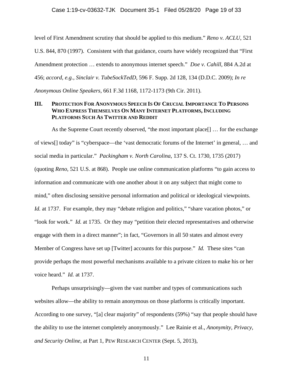level of First Amendment scrutiny that should be applied to this medium." *Reno v. ACLU*, 521 U.S. 844, 870 (1997). Consistent with that guidance, courts have widely recognized that "First Amendment protection … extends to anonymous internet speech." *Doe v. Cahill*, 884 A.2d at 456; *accord, e.g.*, *Sinclair v. TubeSockTedD*, 596 F. Supp. 2d 128, 134 (D.D.C. 2009); *In re Anonymous Online Speakers*, 661 F.3d 1168, 1172-1173 (9th Cir. 2011).

# **III. PROTECTION FOR ANONYMOUS SPEECH IS OF CRUCIAL IMPORTANCE TO PERSONS WHO EXPRESS THEMSELVES ON MANY INTERNET PLATFORMS, INCLUDING PLATFORMS SUCH AS TWITTER AND REDDIT**

As the Supreme Court recently observed, "the most important place[] … for the exchange of views[] today" is "cyberspace—the 'vast democratic forums of the Internet' in general, … and social media in particular." *Packingham v. North Carolina*, 137 S. Ct. 1730, 1735 (2017) (quoting *Reno*, 521 U.S. at 868). People use online communication platforms "to gain access to information and communicate with one another about it on any subject that might come to mind," often disclosing sensitive personal information and political or ideological viewpoints. Id. at 1737. For example, they may "debate religion and politics," "share vacation photos," or "look for work." *Id.* at 1735.Or they may "petition their elected representatives and otherwise engage with them in a direct manner"; in fact, "Governors in all 50 states and almost every Member of Congress have set up [Twitter] accounts for this purpose." *Id.* These sites "can provide perhaps the most powerful mechanisms available to a private citizen to make his or her voice heard." *Id.* at 1737.

Perhaps unsurprisingly—given the vast number and types of communications such websites allow—the ability to remain anonymous on those platforms is critically important. According to one survey, "[a] clear majority" of respondents (59%) "say that people should have the ability to use the internet completely anonymously." Lee Rainie et al., *Anonymity, Privacy, and Security Online*, at Part 1, PEW RESEARCH CENTER (Sept. 5, 2013),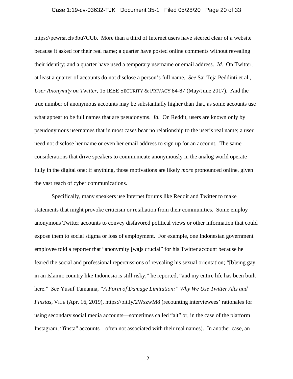#### Case 1:19-cv-03632-TJK Document 35-1 Filed 05/28/20 Page 20 of 33

https://pewrsr.ch/3bu7CUb. More than a third of Internet users have steered clear of a website because it asked for their real name; a quarter have posted online comments without revealing their identity; and a quarter have used a temporary username or email address. *Id.* On Twitter, at least a quarter of accounts do not disclose a person's full name. *See* Sai Teja Peddinti et al., *User Anonymity on Twitter*, 15 IEEE SECURITY & PRIVACY 84-87 (May/June 2017). And the true number of anonymous accounts may be substantially higher than that, as some accounts use what appear to be full names that are pseudonyms. *Id.* On Reddit, users are known only by pseudonymous usernames that in most cases bear no relationship to the user's real name; a user need not disclose her name or even her email address to sign up for an account. The same considerations that drive speakers to communicate anonymously in the analog world operate fully in the digital one; if anything, those motivations are likely *more* pronounced online, given the vast reach of cyber communications.

Specifically, many speakers use Internet forums like Reddit and Twitter to make statements that might provoke criticism or retaliation from their communities. Some employ anonymous Twitter accounts to convey disfavored political views or other information that could expose them to social stigma or loss of employment. For example, one Indonesian government employee told a reporter that "anonymity [wa]s crucial" for his Twitter account because he feared the social and professional repercussions of revealing his sexual orientation; "[b]eing gay in an Islamic country like Indonesia is still risky," he reported, "and my entire life has been built here." *See* Yusuf Tamanna, *"A Form of Damage Limitation:" Why We Use Twitter Alts and Finstas*, VICE (Apr. 16, 2019), https://bit.ly/2WszwM8 (recounting interviewees' rationales for using secondary social media accounts—sometimes called "alt" or, in the case of the platform Instagram, "finsta" accounts—often not associated with their real names). In another case, an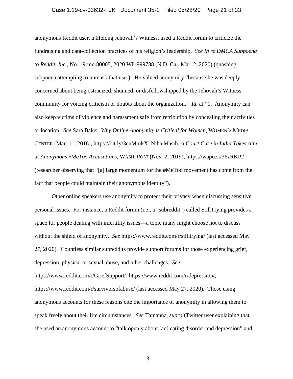#### Case 1:19-cv-03632-TJK Document 35-1 Filed 05/28/20 Page 21 of 33

anonymous Reddit user, a lifelong Jehovah's Witness, used a Reddit forum to criticize the fundraising and data-collection practices of his religion's leadership. *See In re DMCA Subpoena to Reddit, Inc.*, No. 19-mc-80005, 2020 WL 999788 (N.D. Cal. Mar. 2, 2020) (quashing subpoena attempting to unmask that user). He valued anonymity "because he was deeply concerned about being ostracized, shunned, or disfellowshipped by the Jehovah's Witness community for voicing criticism or doubts about the organization." *Id.* at \*1. Anonymity can also keep victims of violence and harassment safe from retribution by concealing their activities or location. *See* Sara Baker, *Why Online Anonymity is Critical for Women*, WOMEN'S MEDIA CENTER (Mar. 11, 2016), https://bit.ly/3enMmkX; Niha Masih, *A Court Case in India Takes Aim at Anonymous #MeToo Accusations*, WASH. POST (Nov. 2, 2019), https://wapo.st/36zRKP2 (researcher observing that "[a] large momentum for the #MeToo movement has come from the fact that people could maintain their anonymous identity").

 Other online speakers use anonymity to protect their privacy when discussing sensitive personal issues. For instance, a Reddit forum (i.e., a "subreddit") called StillTrying provides a space for people dealing with infertility issues—a topic many might choose not to discuss without the shield of anonymity. *See* https://www.reddit.com/r/stilltrying/ (last accessed May 27, 2020). Countless similar subreddits provide support forums for those experiencing grief, depression, physical or sexual abuse, and other challenges. *See*  https://www.reddit.com/r/GriefSupport/; https://www.reddit.com/r/depression/; https://www.reddit.com/r/survivorsofabuse/ (last accessed May 27, 2020). Those using anonymous accounts for these reasons cite the importance of anonymity in allowing them to speak freely about their life circumstances. *See* Tamanna, *supra* (Twitter user explaining that she used an anonymous account to "talk openly about [an] eating disorder and depression" and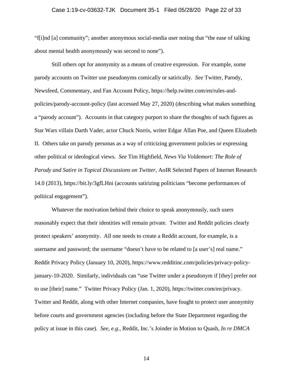#### Case 1:19-cv-03632-TJK Document 35-1 Filed 05/28/20 Page 22 of 33

"f[i]nd [a] community"; another anonymous social-media user noting that "the ease of talking about mental health anonymously was second to none").

 Still others opt for anonymity as a means of creative expression. For example, some parody accounts on Twitter use pseudonyms comically or satirically. *See* Twitter, Parody, Newsfeed, Commentary, and Fan Account Policy, https://help.twitter.com/en/rules-andpolicies/parody-account-policy (last accessed May 27, 2020) (describing what makes something a "parody account"). Accounts in that category purport to share the thoughts of such figures as Star Wars villain Darth Vader, actor Chuck Norris, writer Edgar Allan Poe, and Queen Elizabeth II. Others take on parody personas as a way of criticizing government policies or expressing other political or ideological views. *See* Tim Highfield, *News Via Voldemort: The Role of Parody and Satire in Topical Discussions on Twitter*, AoIR Selected Papers of Internet Research 14.0 (2013), https://bit.ly/3gfLHni (accounts satirizing politicians "become performances of political engagement").

Whatever the motivation behind their choice to speak anonymously, such users reasonably expect that their identities will remain private. Twitter and Reddit policies clearly protect speakers' anonymity. All one needs to create a Reddit account, for example, is a username and password; the username "doesn't have to be related to [a user's] real name." Reddit Privacy Policy (January 10, 2020), https://www.redditinc.com/policies/privacy-policyjanuary-10-2020. Similarly, individuals can "use Twitter under a pseudonym if [they] prefer not to use [their] name." Twitter Privacy Policy (Jan. 1, 2020), https://twitter.com/en/privacy. Twitter and Reddit, along with other Internet companies, have fought to protect user anonymity before courts and government agencies (including before the State Department regarding the policy at issue in this case). *See, e.g.*, Reddit, Inc.'s Joinder in Motion to Quash, *In re DMCA*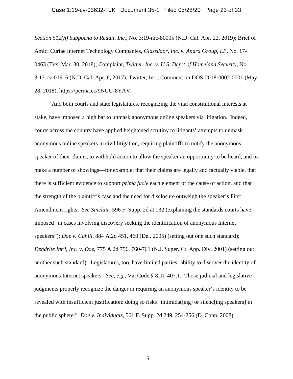#### Case 1:19-cv-03632-TJK Document 35-1 Filed 05/28/20 Page 23 of 33

*Section 512(h) Subpoena to Reddit, Inc.*, No. 3:19-mc-80005 (N.D. Cal. Apr. 22, 2019); Brief of Amici Curiae Internet Technology Companies, *Glassdoor, Inc. v. Andra Group, LP*, No. 17- 0463 (Tex. Mar. 30, 2018); Complaint, *Twitter, Inc. v. U.S. Dep't of Homeland Security*, No. 3:17-cv-01916 (N.D. Cal. Apr. 6, 2017); Twitter, Inc., Comment on DOS-2018-0002-0001 (May 28, 2018), https://perma.cc/9NGU-8YAV.

 And both courts and state legislatures, recognizing the vital constitutional interests at stake, have imposed a high bar to unmask anonymous online speakers via litigation. Indeed, courts across the country have applied heightened scrutiny to litigants' attempts to unmask anonymous online speakers in civil litigation, requiring plaintiffs to notify the anonymous speaker of their claims, to withhold action to allow the speaker an opportunity to be heard, and to make a number of showings—for example, that their claims are legally and factually viable, that there is sufficient evidence to support *prima facie* each element of the cause of action, and that the strength of the plaintiff's case and the need for disclosure outweigh the speaker's First Amendment rights. *See Sinclair*, 596 F. Supp. 2d at 132 (explaining the standards courts have imposed "in cases involving discovery seeking the identification of anonymous Internet speakers"); *Doe v. Cahill*, 884 A.2d 451, 460 (Del. 2005) (setting out one such standard); *Dendrite Int'l, Inc. v. Doe*, 775 A.2d 756, 760-761 (N.J. Super. Ct. App. Div. 2001) (setting out another such standard). Legislatures, too, have limited parties' ability to discover the identity of anonymous Internet speakers. *See, e.g.*, Va. Code § 8.01-407.1. Those judicial and legislative judgments properly recognize the danger in requiring an anonymous speaker's identity to be revealed with insufficient justification: doing so risks "intimidat[ing] or silenc[ing speakers] in the public sphere." *Doe v. Individuals*, 561 F. Supp. 2d 249, 254-256 (D. Conn. 2008).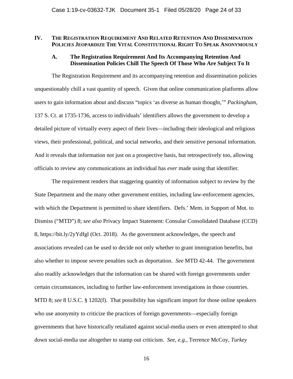### **IV. THE REGISTRATION REQUIREMENT AND RELATED RETENTION AND DISSEMINATION POLICIES JEOPARDIZE THE VITAL CONSTITUTIONAL RIGHT TO SPEAK ANONYMOUSLY**

## **A. The Registration Requirement And Its Accompanying Retention And Dissemination Policies Chill The Speech Of Those Who Are Subject To It**

The Registration Requirement and its accompanying retention and dissemination policies unquestionably chill a vast quantity of speech. Given that online communication platforms allow users to gain information about and discuss "topics 'as diverse as human thought,'" *Packingham*, 137 S. Ct. at 1735-1736, access to individuals' identifiers allows the government to develop a detailed picture of virtually every aspect of their lives—including their ideological and religious views, their professional, political, and social networks, and their sensitive personal information. And it reveals that information not just on a prospective basis, but retrospectively too, allowing officials to review any communications an individual has *ever* made using that identifier.

The requirement renders that staggering quantity of information subject to review by the State Department and the many other government entities, including law-enforcement agencies, with which the Department is permitted to share identifiers. Defs.' Mem. in Support of Mot. to Dismiss ("MTD") 8; *see also* Privacy Impact Statement: Consular Consolidated Database (CCD) 8, https://bit.ly/2yYdfgl (Oct. 2018). As the government acknowledges, the speech and associations revealed can be used to decide not only whether to grant immigration benefits, but also whether to impose severe penalties such as deportation. *See* MTD 42-44. The government also readily acknowledges that the information can be shared with foreign governments under certain circumstances, including to further law-enforcement investigations in those countries. MTD 8; *see* 8 U.S.C. § 1202(f). That possibility has significant import for those online speakers who use anonymity to criticize the practices of foreign governments—especially foreign governments that have historically retaliated against social-media users or even attempted to shut down social-media use altogether to stamp out criticism. *See, e.g.*, Terrence McCoy, *Turkey*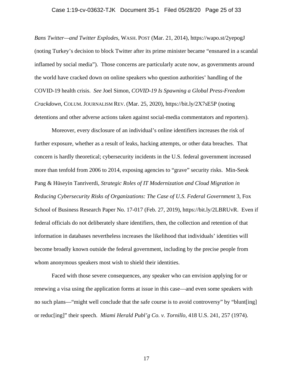#### Case 1:19-cv-03632-TJK Document 35-1 Filed 05/28/20 Page 25 of 33

*Bans Twitter—and Twitter Explodes*, WASH. POST (Mar. 21, 2014), https://wapo.st/2yepogJ (noting Turkey's decision to block Twitter after its prime minister became "ensnared in a scandal inflamed by social media"). Those concerns are particularly acute now, as governments around the world have cracked down on online speakers who question authorities' handling of the COVID-19 health crisis. *See* Joel Simon, *COVID-19 Is Spawning a Global Press-Freedom Crackdown*, COLUM. JOURNALISM REV. (Mar. 25, 2020), https://bit.ly/2X7sE5P (noting detentions and other adverse actions taken against social-media commentators and reporters).

Moreover, every disclosure of an individual's online identifiers increases the risk of further exposure, whether as a result of leaks, hacking attempts, or other data breaches. That concern is hardly theoretical; cybersecurity incidents in the U.S. federal government increased more than tenfold from 2006 to 2014, exposing agencies to "grave" security risks. Min-Seok Pang & Hüseyin Tanriverdi, *Strategic Roles of IT Modernization and Cloud Migration in Reducing Cybersecurity Risks of Organizations: The Case of U.S. Federal Government* 3, Fox School of Business Research Paper No. 17-017 (Feb. 27, 2019), https://bit.ly/2LBRUvR. Even if federal officials do not deliberately share identifiers, then, the collection and retention of that information in databases nevertheless increases the likelihood that individuals' identities will become broadly known outside the federal government, including by the precise people from whom anonymous speakers most wish to shield their identities.

Faced with those severe consequences, any speaker who can envision applying for or renewing a visa using the application forms at issue in this case—and even some speakers with no such plans—"might well conclude that the safe course is to avoid controversy" by "blunt[ing] or reduc[ing]" their speech. *Miami Herald Publ'g Co. v. Tornillo*, 418 U.S. 241, 257 (1974).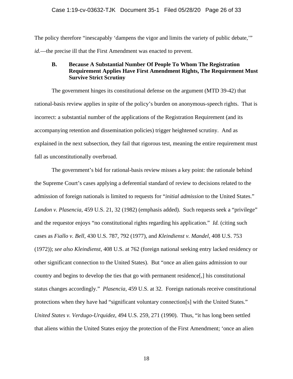The policy therefore "inescapably 'dampens the vigor and limits the variety of public debate,'" *id.*—the precise ill that the First Amendment was enacted to prevent.

# **B. Because A Substantial Number Of People To Whom The Registration Requirement Applies Have First Amendment Rights, The Requirement Must Survive Strict Scrutiny**

The government hinges its constitutional defense on the argument (MTD 39-42) that rational-basis review applies in spite of the policy's burden on anonymous-speech rights. That is incorrect: a substantial number of the applications of the Registration Requirement (and its accompanying retention and dissemination policies) trigger heightened scrutiny. And as explained in the next subsection, they fail that rigorous test, meaning the entire requirement must fall as unconstitutionally overbroad.

The government's bid for rational-basis review misses a key point: the rationale behind the Supreme Court's cases applying a deferential standard of review to decisions related to the admission of foreign nationals is limited to requests for "*initial admission* to the United States." *Landon v. Plasencia*, 459 U.S. 21, 32 (1982) (emphasis added). Such requests seek a "privilege" and the requestor enjoys "no constitutional rights regarding his application." *Id.* (citing such cases as *Fiallo v. Bell*, 430 U.S. 787, 792 (1977), and *Kleindienst v. Mandel*, 408 U.S. 753 (1972)); *see also Kleindienst*, 408 U.S. at 762 (foreign national seeking entry lacked residency or other significant connection to the United States). But "once an alien gains admission to our country and begins to develop the ties that go with permanent residence[,] his constitutional status changes accordingly." *Plasencia*, 459 U.S. at 32*.* Foreign nationals receive constitutional protections when they have had "significant voluntary connection[s] with the United States." *United States v. Verdugo-Urquidez*, 494 U.S. 259, 271 (1990). Thus, "it has long been settled that aliens within the United States enjoy the protection of the First Amendment; 'once an alien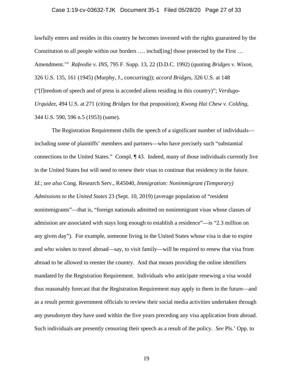#### Case 1:19-cv-03632-TJK Document 35-1 Filed 05/28/20 Page 27 of 33

lawfully enters and resides in this country he becomes invested with the rights guaranteed by the Constitution to all people within our borders  $\dots$  includ[ing] those protected by the First  $\dots$ Amendment.'" *Rafeedie v. INS*, 795 F. Supp. 13, 22 (D.D.C. 1992) (quoting *Bridges v. Wixon*, 326 U.S. 135, 161 (1945) (Murphy, J., concurring)); *accord Bridges*, 326 U.S. at 148 ("[f]reedom of speech and of press is accorded aliens residing in this country)"; *Verdugo-Urquidez*, 494 U.S. at 271 (citing *Bridges* for that proposition); *Kwong Hai Chew v. Colding*, 344 U.S. 590, 596 n.5 (1953) (same).

The Registration Requirement chills the speech of a significant number of individuals including some of plaintiffs' members and partners—who have precisely such "substantial connections to the United States." Compl. ¶ 43. Indeed, many of those individuals currently live in the United States but will need to renew their visas to continue that residency in the future. *Id.*; *see also* Cong. Research Serv., R45040, *Immigration: Nonimmigrant (Temporary) Admissions to the United States* 23 (Sept. 10, 2019) (average population of "resident nonimmigrants"—that is, "foreign nationals admitted on nonimmigrant visas whose classes of admission are associated with stays long enough to establish a residence"—is "2.3 million on any given day"). For example, someone living in the United States whose visa is due to expire and who wishes to travel abroad—say, to visit family—will be required to renew that visa from abroad to be allowed to reenter the country. And that means providing the online identifiers mandated by the Registration Requirement. Individuals who anticipate renewing a visa would thus reasonably forecast that the Registration Requirement may apply to them in the future—and as a result permit government officials to review their social media activities undertaken through any pseudonym they have used within the five years preceding any visa application from abroad. Such individuals are presently censoring their speech as a result of the policy. *See* Pls.' Opp. to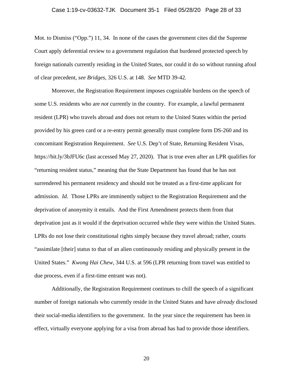#### Case 1:19-cv-03632-TJK Document 35-1 Filed 05/28/20 Page 28 of 33

Mot. to Dismiss ("Opp.") 11, 34. In none of the cases the government cites did the Supreme Court apply deferential review to a government regulation that burdened protected speech by foreign nationals currently residing in the United States, nor could it do so without running afoul of clear precedent, *see Bridges*, 326 U.S. at 148. *See* MTD 39-42.

Moreover, the Registration Requirement imposes cognizable burdens on the speech of some U.S. residents who are *not* currently in the country. For example, a lawful permanent resident (LPR) who travels abroad and does not return to the United States within the period provided by his green card or a re-entry permit generally must complete form DS-260 and its concomitant Registration Requirement. *See* U.S. Dep't of State, Returning Resident Visas, https://bit.ly/3bJFU6c (last accessed May 27, 2020). That is true even after an LPR qualifies for "returning resident status," meaning that the State Department has found that he has not surrendered his permanent residency and should not be treated as a first-time applicant for admission. *Id.* Those LPRs are imminently subject to the Registration Requirement and the deprivation of anonymity it entails. And the First Amendment protects them from that deprivation just as it would if the deprivation occurred while they were within the United States. LPRs do not lose their constitutional rights simply because they travel abroad; rather, courts "assimilate [their] status to that of an alien continuously residing and physically present in the United States." *Kwong Hai Chew*, 344 U.S. at 596 (LPR returning from travel was entitled to due process, even if a first-time entrant was not).

Additionally, the Registration Requirement continues to chill the speech of a significant number of foreign nationals who currently reside in the United States and have *already* disclosed their social-media identifiers to the government. In the year since the requirement has been in effect, virtually everyone applying for a visa from abroad has had to provide those identifiers.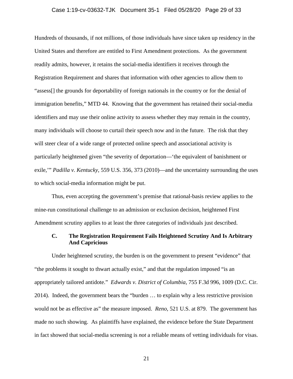#### Case 1:19-cv-03632-TJK Document 35-1 Filed 05/28/20 Page 29 of 33

Hundreds of thousands, if not millions, of those individuals have since taken up residency in the United States and therefore are entitled to First Amendment protections. As the government readily admits, however, it retains the social-media identifiers it receives through the Registration Requirement and shares that information with other agencies to allow them to "assess[] the grounds for deportability of foreign nationals in the country or for the denial of immigration benefits," MTD 44. Knowing that the government has retained their social-media identifiers and may use their online activity to assess whether they may remain in the country, many individuals will choose to curtail their speech now and in the future. The risk that they will steer clear of a wide range of protected online speech and associational activity is particularly heightened given "the severity of deportation—'the equivalent of banishment or exile,'" *Padilla v. Kentucky*, 559 U.S. 356, 373 (2010)—and the uncertainty surrounding the uses to which social-media information might be put.

Thus, even accepting the government's premise that rational-basis review applies to the mine-run constitutional challenge to an admission or exclusion decision, heightened First Amendment scrutiny applies to at least the three categories of individuals just described.

# **C. The Registration Requirement Fails Heightened Scrutiny And Is Arbitrary And Capricious**

Under heightened scrutiny, the burden is on the government to present "evidence" that "the problems it sought to thwart actually exist," and that the regulation imposed "is an appropriately tailored antidote." *Edwards v. District of Columbia*, 755 F.3d 996, 1009 (D.C. Cir. 2014). Indeed, the government bears the "burden … to explain why a less restrictive provision would not be as effective as" the measure imposed. *Reno*, 521 U.S. at 879. The government has made no such showing. As plaintiffs have explained, the evidence before the State Department in fact showed that social-media screening is *not* a reliable means of vetting individuals for visas.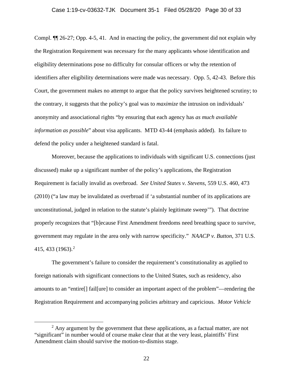#### Case 1:19-cv-03632-TJK Document 35-1 Filed 05/28/20 Page 30 of 33

Compl. ¶¶ 26-27; Opp. 4-5, 41. And in enacting the policy, the government did not explain why the Registration Requirement was necessary for the many applicants whose identification and eligibility determinations pose no difficulty for consular officers or why the retention of identifiers after eligibility determinations were made was necessary. Opp. 5, 42-43.Before this Court, the government makes no attempt to argue that the policy survives heightened scrutiny; to the contrary, it suggests that the policy's goal was to *maximize* the intrusion on individuals' anonymity and associational rights "by ensuring that each agency has *as much available information as possible*" about visa applicants. MTD 43-44 (emphasis added). Its failure to defend the policy under a heightened standard is fatal.

Moreover, because the applications to individuals with significant U.S. connections (just discussed) make up a significant number of the policy's applications, the Registration Requirement is facially invalid as overbroad. *See United States v. Stevens*, 559 U.S. 460, 473 (2010) ("a law may be invalidated as overbroad if 'a substantial number of its applications are unconstitutional, judged in relation to the statute's plainly legitimate sweep'"). That doctrine properly recognizes that "[b]ecause First Amendment freedoms need breathing space to survive, government may regulate in the area only with narrow specificity." *NAACP v. Button*, 371 U.S. 415, 433 (1963).<sup>2</sup>

The government's failure to consider the requirement's constitutionality as applied to foreign nationals with significant connections to the United States, such as residency, also amounts to an "entire[] fail[ure] to consider an important aspect of the problem"—rendering the Registration Requirement and accompanying policies arbitrary and capricious. *Motor Vehicle* 

 $2$  Any argument by the government that these applications, as a factual matter, are not "significant" in number would of course make clear that at the very least, plaintiffs' First Amendment claim should survive the motion-to-dismiss stage.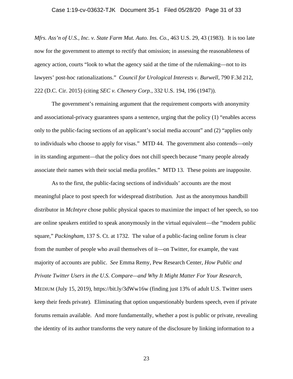#### Case 1:19-cv-03632-TJK Document 35-1 Filed 05/28/20 Page 31 of 33

*Mfrs. Ass'n of U.S., Inc. v. State Farm Mut. Auto. Ins. Co.*, 463 U.S. 29, 43 (1983). It is too late now for the government to attempt to rectify that omission; in assessing the reasonableness of agency action, courts "look to what the agency said at the time of the rulemaking—not to its lawyers' post-hoc rationalizations." *Council for Urological Interests v. Burwell*, 790 F.3d 212, 222 (D.C. Cir. 2015) (citing *SEC v. Chenery Corp.*, 332 U.S. 194, 196 (1947)).

The government's remaining argument that the requirement comports with anonymity and associational-privacy guarantees spans a sentence, urging that the policy (1) "enables access only to the public-facing sections of an applicant's social media account" and (2) "applies only to individuals who choose to apply for visas." MTD 44. The government also contends—only in its standing argument—that the policy does not chill speech because "many people already associate their names with their social media profiles." MTD 13. These points are inapposite.

As to the first, the public-facing sections of individuals' accounts are the most meaningful place to post speech for widespread distribution.Just as the anonymous handbill distributor in *McIntyre* chose public physical spaces to maximize the impact of her speech, so too are online speakers entitled to speak anonymously in the virtual equivalent—the "modern public square," *Packingham*, 137 S. Ct. at 1732. The value of a public-facing online forum is clear from the number of people who avail themselves of it—on Twitter, for example, the vast majority of accounts are public. *See* Emma Remy, Pew Research Center, *How Public and Private Twitter Users in the U.S. Compare—and Why It Might Matter For Your Research*, MEDIUM (July 15, 2019), https://bit.ly/3dWw16w (finding just 13% of adult U.S. Twitter users keep their feeds private)*.* Eliminating that option unquestionably burdens speech, even if private forums remain available. And more fundamentally, whether a post is public or private, revealing the identity of its author transforms the very nature of the disclosure by linking information to a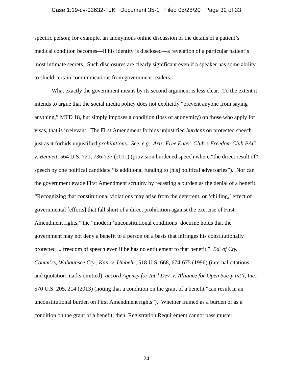#### Case 1:19-cv-03632-TJK Document 35-1 Filed 05/28/20 Page 32 of 33

specific person; for example, an anonymous online discussion of the details of a patient's medical condition becomes—if his identity is disclosed—a revelation of a particular patient's most intimate secrets. Such disclosures are clearly significant even if a speaker has some ability to shield certain communications from government readers.

What exactly the government means by its second argument is less clear. To the extent it intends to argue that the social media policy does not explicitly "prevent anyone from saying anything," MTD 18, but simply imposes a condition (loss of anonymity) on those who apply for visas, that is irrelevant. The First Amendment forbids unjustified *burdens* on protected speech just as it forbids unjustified *prohibitions*. *See, e.g., Ariz. Free Enter. Club's Freedom Club PAC v. Bennett*, 564 U.S. 721, 736-737 (2011) (provision burdened speech where "the direct result of" speech by one political candidate "is additional funding to [his] political adversaries"). Nor can the government evade First Amendment scrutiny by recasting a burden as the denial of a benefit. "Recognizing that constitutional violations may arise from the deterrent, or 'chilling,' effect of governmental [efforts] that fall short of a direct prohibition against the exercise of First Amendment rights," the "modern 'unconstitutional conditions' doctrine holds that the government may not deny a benefit to a person on a basis that infringes his constitutionally protected ... freedom of speech even if he has no entitlement to that benefit." *Bd. of Cty. Comm'rs, Wabaunsee Cty., Kan. v. Umbehr*, 518 U.S. 668, 674-675 (1996) (internal citations and quotation marks omitted); *accord Agency for Int'l Dev. v. Alliance for Open Soc'y Int'l, Inc.*, 570 U.S. 205, 214 (2013) (noting that a condition on the grant of a benefit "can result in an unconstitutional burden on First Amendment rights"). Whether framed as a burden or as a condition on the grant of a benefit, then, Registration Requirement cannot pass muster.